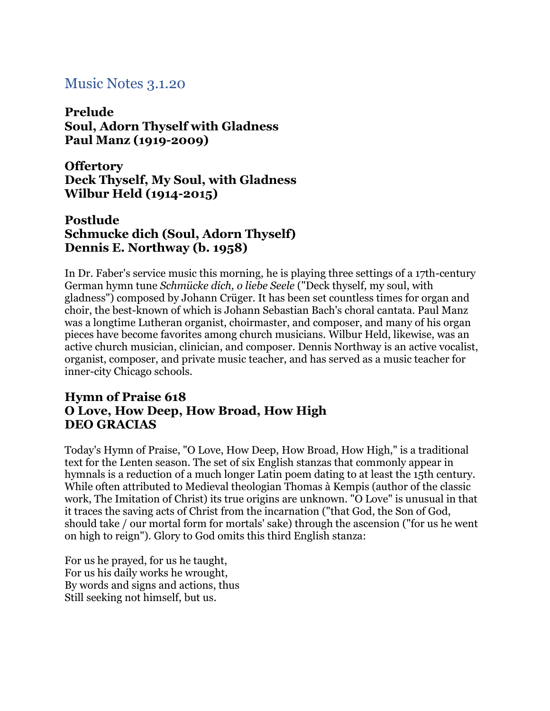# Music Notes 3.1.20

**Prelude Soul, Adorn Thyself with Gladness Paul Manz (1919-2009)**

**Offertory Deck Thyself, My Soul, with Gladness Wilbur Held (1914-2015)**

#### **Postlude Schmucke dich (Soul, Adorn Thyself) Dennis E. Northway (b. 1958)**

In Dr. Faber's service music this morning, he is playing three settings of a 17th-century German hymn tune *Schmücke dich, o liebe Seele* ("Deck thyself, my soul, with gladness") composed by Johann Crüger. It has been set countless times for organ and choir, the best-known of which is Johann Sebastian Bach's choral cantata. Paul Manz was a longtime Lutheran organist, choirmaster, and composer, and many of his organ pieces have become favorites among church musicians. Wilbur Held, likewise, was an active church musician, clinician, and composer. Dennis Northway is an active vocalist, organist, composer, and private music teacher, and has served as a music teacher for inner-city Chicago schools.

## **Hymn of Praise 618 O Love, How Deep, How Broad, How High DEO GRACIAS**

Today's Hymn of Praise, "O Love, How Deep, How Broad, How High," is a traditional text for the Lenten season. The set of six English stanzas that commonly appear in hymnals is a reduction of a much longer Latin poem dating to at least the 15th century. While often attributed to Medieval theologian Thomas à Kempis (author of the classic work, The Imitation of Christ) its true origins are unknown. "O Love" is unusual in that it traces the saving acts of Christ from the incarnation ("that God, the Son of God, should take / our mortal form for mortals' sake) through the ascension ("for us he went on high to reign"). Glory to God omits this third English stanza:

For us he prayed, for us he taught, For us his daily works he wrought, By words and signs and actions, thus Still seeking not himself, but us.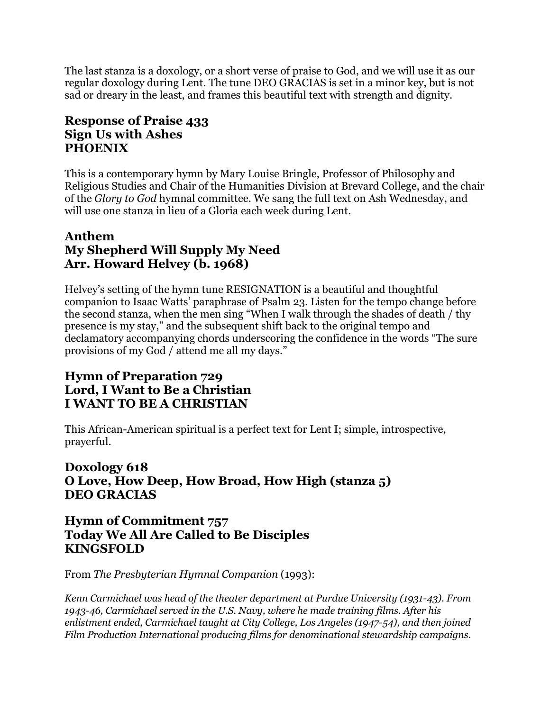The last stanza is a doxology, or a short verse of praise to God, and we will use it as our regular doxology during Lent. The tune DEO GRACIAS is set in a minor key, but is not sad or dreary in the least, and frames this beautiful text with strength and dignity.

# **Response of Praise 433 Sign Us with Ashes PHOENIX**

This is a contemporary hymn by Mary Louise Bringle, Professor of Philosophy and Religious Studies and Chair of the Humanities Division at Brevard College, and the chair of the *Glory to God* hymnal committee. We sang the full text on Ash Wednesday, and will use one stanza in lieu of a Gloria each week during Lent.

## **Anthem My Shepherd Will Supply My Need Arr. Howard Helvey (b. 1968)**

Helvey's setting of the hymn tune RESIGNATION is a beautiful and thoughtful companion to Isaac Watts' paraphrase of Psalm 23. Listen for the tempo change before the second stanza, when the men sing "When I walk through the shades of death / thy presence is my stay," and the subsequent shift back to the original tempo and declamatory accompanying chords underscoring the confidence in the words "The sure provisions of my God / attend me all my days."

# **Hymn of Preparation 729 Lord, I Want to Be a Christian I WANT TO BE A CHRISTIAN**

This African-American spiritual is a perfect text for Lent I; simple, introspective, prayerful.

# **Doxology 618 O Love, How Deep, How Broad, How High (stanza 5) DEO GRACIAS**

## **Hymn of Commitment 757 Today We All Are Called to Be Disciples KINGSFOLD**

From *The Presbyterian Hymnal Companion* (1993):

*Kenn Carmichael was head of the theater department at Purdue University (1931-43). From 1943-46, Carmichael served in the U.S. Navy, where he made training films. After his enlistment ended, Carmichael taught at City College, Los Angeles (1947-54), and then joined Film Production International producing films for denominational stewardship campaigns.*